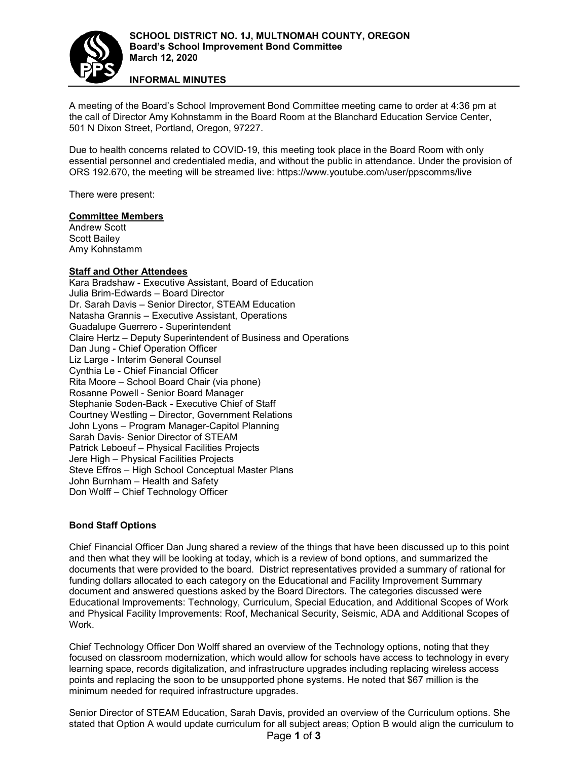

**INFORMAL MINUTES**

A meeting of the Board's School Improvement Bond Committee meeting came to order at 4:36 pm at the call of Director Amy Kohnstamm in the Board Room at the Blanchard Education Service Center, 501 N Dixon Street, Portland, Oregon, 97227.

Due to health concerns related to COVID-19, this meeting took place in the Board Room with only essential personnel and credentialed media, and without the public in attendance. Under the provision of ORS 192.670, the meeting will be streamed live: https://www.youtube.com/user/ppscomms/live

There were present:

## **Committee Members**

Andrew Scott Scott Bailey Amy Kohnstamm

## **Staff and Other Attendees**

Kara Bradshaw - Executive Assistant, Board of Education Julia Brim-Edwards – Board Director Dr. Sarah Davis – Senior Director, STEAM Education Natasha Grannis – Executive Assistant, Operations Guadalupe Guerrero - Superintendent Claire Hertz – Deputy Superintendent of Business and Operations Dan Jung - Chief Operation Officer Liz Large - Interim General Counsel Cynthia Le - Chief Financial Officer Rita Moore – School Board Chair (via phone) Rosanne Powell - Senior Board Manager Stephanie Soden-Back - Executive Chief of Staff Courtney Westling – Director, Government Relations John Lyons – Program Manager-Capitol Planning Sarah Davis- Senior Director of STEAM Patrick Leboeuf – Physical Facilities Projects Jere High – Physical Facilities Projects Steve Effros – High School Conceptual Master Plans John Burnham – Health and Safety Don Wolff – Chief Technology Officer

## **Bond Staff Options**

Chief Financial Officer Dan Jung shared a review of the things that have been discussed up to this point and then what they will be looking at today, which is a review of bond options, and summarized the documents that were provided to the board. District representatives provided a summary of rational for funding dollars allocated to each category on the Educational and Facility Improvement Summary document and answered questions asked by the Board Directors. The categories discussed were Educational Improvements: Technology, Curriculum, Special Education, and Additional Scopes of Work and Physical Facility Improvements: Roof, Mechanical Security, Seismic, ADA and Additional Scopes of Work.

Chief Technology Officer Don Wolff shared an overview of the Technology options, noting that they focused on classroom modernization, which would allow for schools have access to technology in every learning space, records digitalization, and infrastructure upgrades including replacing wireless access points and replacing the soon to be unsupported phone systems. He noted that \$67 million is the minimum needed for required infrastructure upgrades.

Page **1** of **3** Senior Director of STEAM Education, Sarah Davis, provided an overview of the Curriculum options. She stated that Option A would update curriculum for all subject areas; Option B would align the curriculum to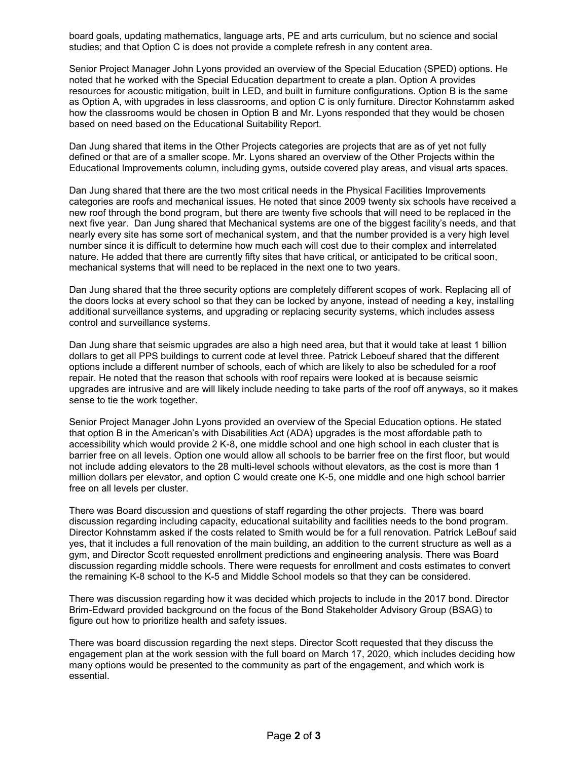board goals, updating mathematics, language arts, PE and arts curriculum, but no science and social studies; and that Option C is does not provide a complete refresh in any content area.

Senior Project Manager John Lyons provided an overview of the Special Education (SPED) options. He noted that he worked with the Special Education department to create a plan. Option A provides resources for acoustic mitigation, built in LED, and built in furniture configurations. Option B is the same as Option A, with upgrades in less classrooms, and option C is only furniture. Director Kohnstamm asked how the classrooms would be chosen in Option B and Mr. Lyons responded that they would be chosen based on need based on the Educational Suitability Report.

Dan Jung shared that items in the Other Projects categories are projects that are as of yet not fully defined or that are of a smaller scope. Mr. Lyons shared an overview of the Other Projects within the Educational Improvements column, including gyms, outside covered play areas, and visual arts spaces.

Dan Jung shared that there are the two most critical needs in the Physical Facilities Improvements categories are roofs and mechanical issues. He noted that since 2009 twenty six schools have received a new roof through the bond program, but there are twenty five schools that will need to be replaced in the next five year. Dan Jung shared that Mechanical systems are one of the biggest facility's needs, and that nearly every site has some sort of mechanical system, and that the number provided is a very high level number since it is difficult to determine how much each will cost due to their complex and interrelated nature. He added that there are currently fifty sites that have critical, or anticipated to be critical soon, mechanical systems that will need to be replaced in the next one to two years.

Dan Jung shared that the three security options are completely different scopes of work. Replacing all of the doors locks at every school so that they can be locked by anyone, instead of needing a key, installing additional surveillance systems, and upgrading or replacing security systems, which includes assess control and surveillance systems.

Dan Jung share that seismic upgrades are also a high need area, but that it would take at least 1 billion dollars to get all PPS buildings to current code at level three. Patrick Leboeuf shared that the different options include a different number of schools, each of which are likely to also be scheduled for a roof repair. He noted that the reason that schools with roof repairs were looked at is because seismic upgrades are intrusive and are will likely include needing to take parts of the roof off anyways, so it makes sense to tie the work together.

Senior Project Manager John Lyons provided an overview of the Special Education options. He stated that option B in the American's with Disabilities Act (ADA) upgrades is the most affordable path to accessibility which would provide 2 K-8, one middle school and one high school in each cluster that is barrier free on all levels. Option one would allow all schools to be barrier free on the first floor, but would not include adding elevators to the 28 multi-level schools without elevators, as the cost is more than 1 million dollars per elevator, and option C would create one K-5, one middle and one high school barrier free on all levels per cluster.

There was Board discussion and questions of staff regarding the other projects. There was board discussion regarding including capacity, educational suitability and facilities needs to the bond program. Director Kohnstamm asked if the costs related to Smith would be for a full renovation. Patrick LeBouf said yes, that it includes a full renovation of the main building, an addition to the current structure as well as a gym, and Director Scott requested enrollment predictions and engineering analysis. There was Board discussion regarding middle schools. There were requests for enrollment and costs estimates to convert the remaining K-8 school to the K-5 and Middle School models so that they can be considered.

There was discussion regarding how it was decided which projects to include in the 2017 bond. Director Brim-Edward provided background on the focus of the Bond Stakeholder Advisory Group (BSAG) to figure out how to prioritize health and safety issues.

There was board discussion regarding the next steps. Director Scott requested that they discuss the engagement plan at the work session with the full board on March 17, 2020, which includes deciding how many options would be presented to the community as part of the engagement, and which work is essential.